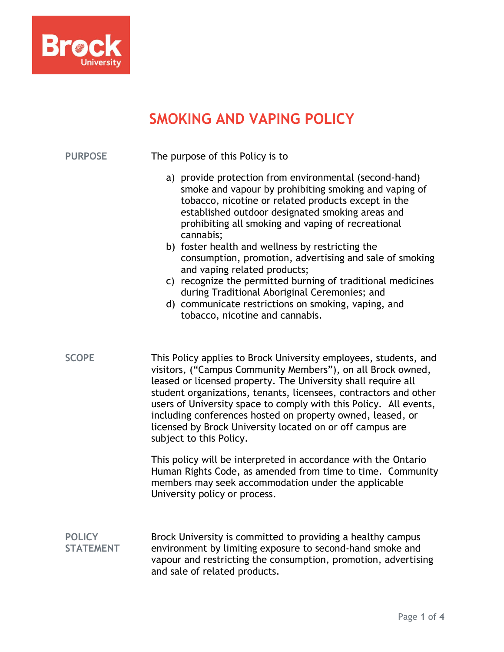

# **SMOKING AND VAPING POLICY**

#### **PURPOSE** The purpose of this Policy is to

- a) provide protection from environmental (second-hand) smoke and vapour by prohibiting smoking and vaping of tobacco, nicotine or related products except in the established outdoor designated smoking areas and prohibiting all smoking and vaping of recreational cannabis;
- b) foster health and wellness by restricting the consumption, promotion, advertising and sale of smoking and vaping related products;
- c) recognize the permitted burning of traditional medicines during Traditional Aboriginal Ceremonies; and
- d) communicate restrictions on smoking, vaping, and tobacco, nicotine and cannabis.

**SCOPE** This Policy applies to Brock University employees, students, and visitors, ("Campus Community Members"), on all Brock owned, leased or licensed property. The University shall require all student organizations, tenants, licensees, contractors and other users of University space to comply with this Policy. All events, including conferences hosted on property owned, leased, or licensed by Brock University located on or off campus are subject to this Policy.

> This policy will be interpreted in accordance with the Ontario Human Rights Code, as amended from time to time. Community members may seek accommodation under the applicable University policy or process.

**POLICY STATEMENT** Brock University is committed to providing a healthy campus environment by limiting exposure to second-hand smoke and vapour and restricting the consumption, promotion, advertising and sale of related products.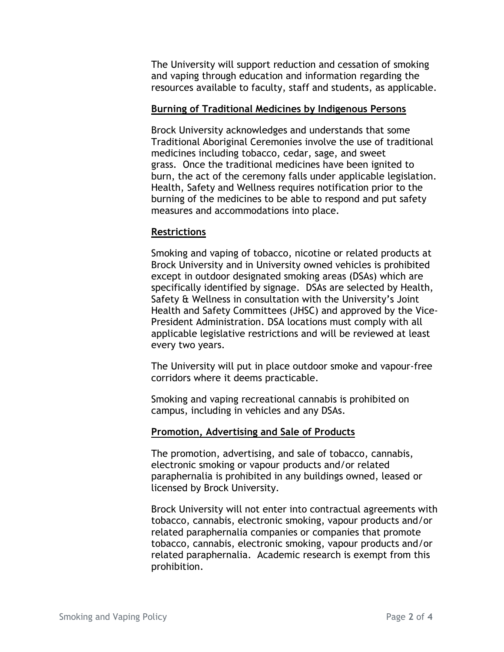The University will support reduction and cessation of smoking and vaping through education and information regarding the resources available to faculty, staff and students, as applicable.

### **Burning of Traditional Medicines by Indigenous Persons**

Brock University acknowledges and understands that some Traditional Aboriginal Ceremonies involve the use of traditional medicines including tobacco, cedar, sage, and sweet grass. Once the traditional medicines have been ignited to burn, the act of the ceremony falls under applicable legislation. Health, Safety and Wellness requires notification prior to the burning of the medicines to be able to respond and put safety measures and accommodations into place.

### **Restrictions**

Smoking and vaping of tobacco, nicotine or related products at Brock University and in University owned vehicles is prohibited except in outdoor designated smoking areas (DSAs) which are specifically identified by signage. DSAs are selected by Health, Safety & Wellness in consultation with the University's Joint Health and Safety Committees (JHSC) and approved by the Vice-President Administration. DSA locations must comply with all applicable legislative restrictions and will be reviewed at least every two years.

The University will put in place outdoor smoke and vapour-free corridors where it deems practicable.

Smoking and vaping recreational cannabis is prohibited on campus, including in vehicles and any DSAs.

# **Promotion, Advertising and Sale of Products**

The promotion, advertising, and sale of tobacco, cannabis, electronic smoking or vapour products and/or related paraphernalia is prohibited in any buildings owned, leased or licensed by Brock University.

Brock University will not enter into contractual agreements with tobacco, cannabis, electronic smoking, vapour products and/or related paraphernalia companies or companies that promote tobacco, cannabis, electronic smoking, vapour products and/or related paraphernalia. Academic research is exempt from this prohibition.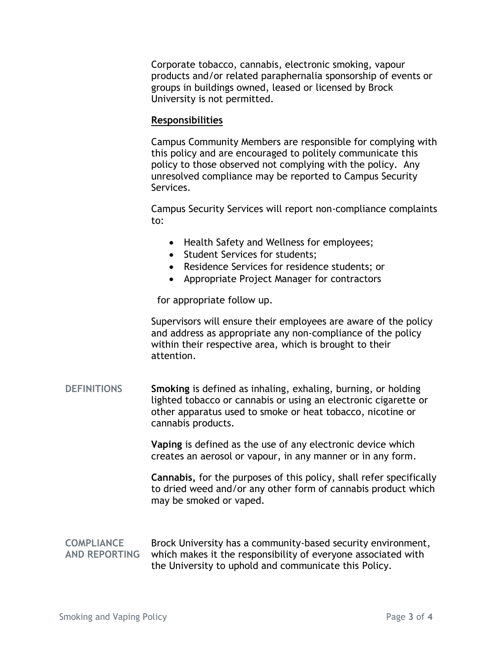Corporate tobacco, cannabis, electronic smoking, vapour products and/or related paraphernalia sponsorship of events or groups in buildings owned, leased or licensed by Brock University is not permitted.

## **Responsibilities**

Campus Community Members are responsible for complying with this policy and are encouraged to politely communicate this policy to those observed not complying with the policy. Any unresolved compliance may be reported to Campus Security Services.

Campus Security Services will report non-compliance complaints to:

- Health Safety and Wellness for employees;
- Student Services for students:
- Residence Services for residence students; or
- Appropriate Project Manager for contractors

for appropriate follow up.

Supervisors will ensure their employees are aware of the policy and address as appropriate any non-compliance of the policy within their respective area, which is brought to their attention.

**DEFINITIONS Smoking** is defined as inhaling, exhaling, burning, or holding lighted tobacco or cannabis or using an electronic cigarette or other apparatus used to smoke or heat tobacco, nicotine or cannabis products.

> **Vaping** is defined as the use of any electronic device which creates an aerosol or vapour, in any manner or in any form.

**Cannabis,** for the purposes of this policy, shall refer specifically to dried weed and/or any other form of cannabis product which may be smoked or vaped.

**COMPLIANCE AND REPORTING** Brock University has a community-based security environment, which makes it the responsibility of everyone associated with the University to uphold and communicate this Policy.